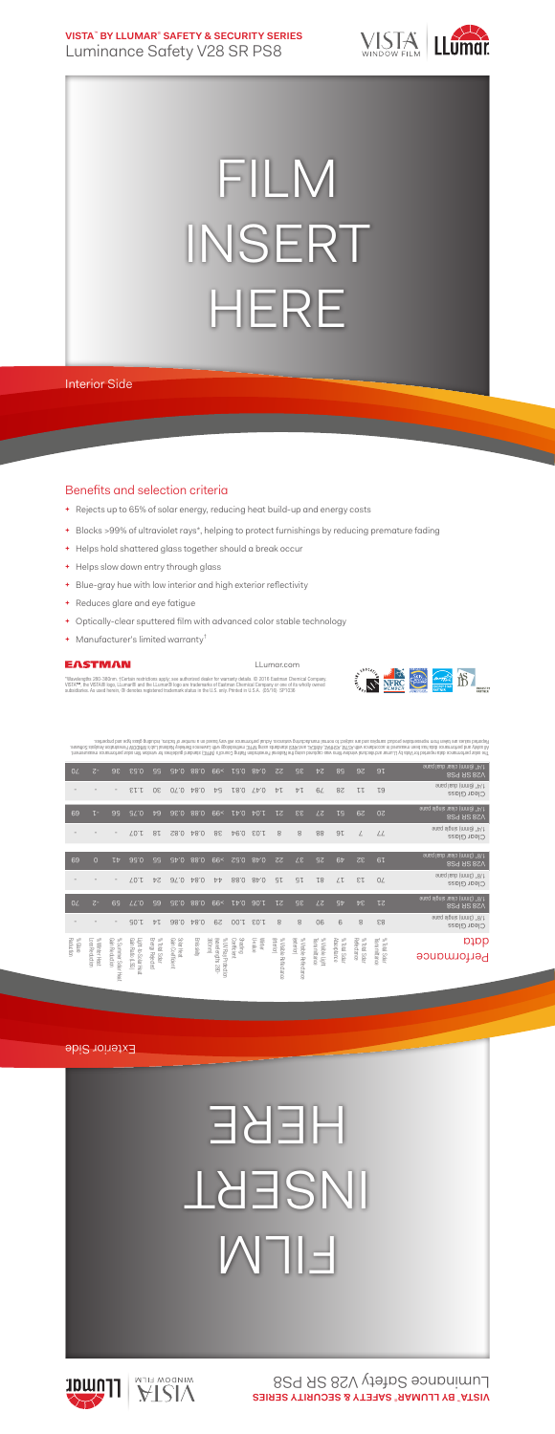**VISTA**™  **BY LLUMAR**® **SAFETY & SECURITY SERIES** Luminance Safety V28 SR PS8



## FILM INSERT HERE

Interior Side

## Benefits and selection criteria

- **+** Rejects up to 65% of solar energy, reducing heat build-up and energy costs
- **+** Blocks >99% of ultraviolet rays\*, helping to protect furnishings by reducing premature fading
- **+** Helps hold shattered glass together should a break occur
- **+** Helps slow down entry through glass
- **+** Blue-gray hue with low interior and high exterior reflectivity
- **+** Reduces glare and eye fatigue
- **+** Optically-clear sputtered film with advanced color stable technology
- **+** Manufacturer's limited warranty†

## EASTMAN

LLumar.com

"Wavelengths 280-380nm. †Certain restrictions apply; see authorized dealer for warranty details. © 2016 Eastman Chemical Company.<br>VISTA™, the VISTA® logo, LLumar® and the LLumar® logo are trademarks of Eastman Chemical Com